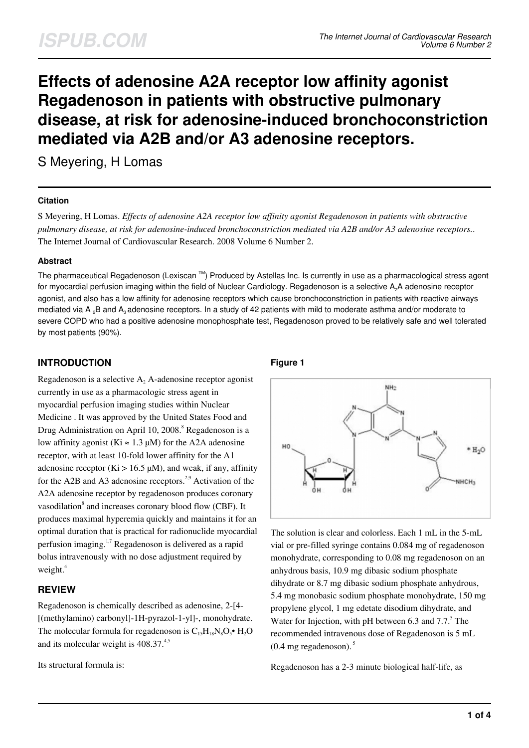# **Effects of adenosine A2A receptor low affinity agonist Regadenoson in patients with obstructive pulmonary disease, at risk for adenosine-induced bronchoconstriction mediated via A2B and/or A3 adenosine receptors.**

S Meyering, H Lomas

## **Citation**

S Meyering, H Lomas. *Effects of adenosine A2A receptor low affinity agonist Regadenoson in patients with obstructive pulmonary disease, at risk for adenosine-induced bronchoconstriction mediated via A2B and/or A3 adenosine receptors.*. The Internet Journal of Cardiovascular Research. 2008 Volume 6 Number 2.

## **Abstract**

The pharmaceutical Regadenoson (Lexiscan  $TM$ ) Produced by Astellas Inc. Is currently in use as a pharmacological stress agent for myocardial perfusion imaging within the field of Nuclear Cardiology. Regadenoson is a selective A<sub>2</sub>A adenosine receptor agonist, and also has a low affinity for adenosine receptors which cause bronchoconstriction in patients with reactive airways mediated via A<sub>2</sub>B and A<sub>3</sub> adenosine receptors. In a study of 42 patients with mild to moderate asthma and/or moderate to severe COPD who had a positive adenosine monophosphate test, Regadenoson proved to be relatively safe and well tolerated by most patients (90%).

## **INTRODUCTION**

Regadenoson is a selective  $A_2$  A-adenosine receptor agonist currently in use as a pharmacologic stress agent in myocardial perfusion imaging studies within Nuclear Medicine . It was approved by the United States Food and Drug Administration on April 10, 2008.<sup>8</sup> Regadenoson is a low affinity agonist (Ki  $\approx 1.3 \mu M$ ) for the A2A adenosine receptor, with at least 10-fold lower affinity for the A1 adenosine receptor (Ki  $> 16.5 \mu M$ ), and weak, if any, affinity for the A2B and A3 adenosine receptors.<sup>2,9</sup> Activation of the A2A adenosine receptor by regadenoson produces coronary vasodilation<sup>8</sup> and increases coronary blood flow (CBF). It produces maximal hyperemia quickly and maintains it for an optimal duration that is practical for radionuclide myocardial perfusion imaging.1,7 Regadenoson is delivered as a rapid bolus intravenously with no dose adjustment required by weight. $4$ 

## **REVIEW**

Regadenoson is chemically described as adenosine, 2-[4- [(methylamino) carbonyl]-1H-pyrazol-1-yl]-, monohydrate. The molecular formula for regadenoson is  $C_{15}H_{18}N_8O_5$  •  $H_2O$ and its molecular weight is 408.37.4,5

Its structural formula is:

## **Figure 1**



The solution is clear and colorless. Each 1 mL in the 5-mL vial or pre-filled syringe contains 0.084 mg of regadenoson monohydrate, corresponding to 0.08 mg regadenoson on an anhydrous basis, 10.9 mg dibasic sodium phosphate dihydrate or 8.7 mg dibasic sodium phosphate anhydrous, 5.4 mg monobasic sodium phosphate monohydrate, 150 mg propylene glycol, 1 mg edetate disodium dihydrate, and Water for Injection, with pH between 6.3 and  $7.7$ .<sup>5</sup> The recommended intravenous dose of Regadenoson is 5 mL  $(0.4 \text{ mg} \text{ regadenoson}).$ <sup>5</sup>

Regadenoson has a 2-3 minute biological half-life, as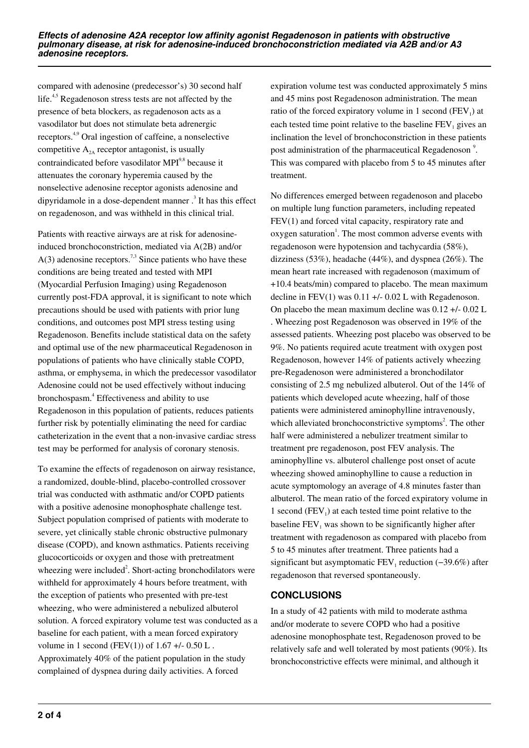compared with adenosine (predecessor's) 30 second half life.<sup>4,5</sup> Regadenoson stress tests are not affected by the presence of beta blockers, as regadenoson acts as a vasodilator but does not stimulate beta adrenergic receptors.4,9 Oral ingestion of caffeine, a nonselective competitive  $A_{2A}$  receptor antagonist, is usually contraindicated before vasodilator MPI<sup>9,8</sup> because it attenuates the coronary hyperemia caused by the nonselective adenosine receptor agonists adenosine and dipyridamole in a dose-dependent manner  $\cdot$ <sup>3</sup> It has this effect on regadenoson, and was withheld in this clinical trial.

Patients with reactive airways are at risk for adenosineinduced bronchoconstriction, mediated via A(2B) and/or  $A(3)$  adenosine receptors.<sup>7,3</sup> Since patients who have these conditions are being treated and tested with MPI (Myocardial Perfusion Imaging) using Regadenoson currently post-FDA approval, it is significant to note which precautions should be used with patients with prior lung conditions, and outcomes post MPI stress testing using Regadenoson. Benefits include statistical data on the safety and optimal use of the new pharmaceutical Regadenoson in populations of patients who have clinically stable COPD, asthma, or emphysema, in which the predecessor vasodilator Adenosine could not be used effectively without inducing bronchospasm.<sup>4</sup> Effectiveness and ability to use Regadenoson in this population of patients, reduces patients further risk by potentially eliminating the need for cardiac catheterization in the event that a non-invasive cardiac stress test may be performed for analysis of coronary stenosis.

To examine the effects of regadenoson on airway resistance, a randomized, double-blind, placebo-controlled crossover trial was conducted with asthmatic and/or COPD patients with a positive adenosine monophosphate challenge test. Subject population comprised of patients with moderate to severe, yet clinically stable chronic obstructive pulmonary disease (COPD), and known asthmatics. Patients receiving glucocorticoids or oxygen and those with pretreatment wheezing were included<sup>2</sup>. Short-acting bronchodilators were withheld for approximately 4 hours before treatment, with the exception of patients who presented with pre-test wheezing, who were administered a nebulized albuterol solution. A forced expiratory volume test was conducted as a baseline for each patient, with a mean forced expiratory volume in 1 second (FEV(1)) of  $1.67 +/- 0.50$  L. Approximately 40% of the patient population in the study complained of dyspnea during daily activities. A forced

expiration volume test was conducted approximately 5 mins and 45 mins post Regadenoson administration. The mean ratio of the forced expiratory volume in 1 second  $(FEV_1)$  at each tested time point relative to the baseline  $FEV<sub>1</sub>$  gives an inclination the level of bronchoconstriction in these patients post administration of the pharmaceutical Regadenoson<sup>9</sup>. This was compared with placebo from 5 to 45 minutes after treatment.

No differences emerged between regadenoson and placebo on multiple lung function parameters, including repeated FEV(1) and forced vital capacity, respiratory rate and oxygen saturation<sup>1</sup>. The most common adverse events with regadenoson were hypotension and tachycardia (58%), dizziness (53%), headache (44%), and dyspnea (26%). The mean heart rate increased with regadenoson (maximum of +10.4 beats/min) compared to placebo. The mean maximum decline in  $FEV(1)$  was 0.11 +/- 0.02 L with Regadenoson. On placebo the mean maximum decline was 0.12 +/- 0.02 L . Wheezing post Regadenoson was observed in 19% of the assessed patients. Wheezing post placebo was observed to be 9%. No patients required acute treatment with oxygen post Regadenoson, however 14% of patients actively wheezing pre-Regadenoson were administered a bronchodilator consisting of 2.5 mg nebulized albuterol. Out of the 14% of patients which developed acute wheezing, half of those patients were administered aminophylline intravenously, which alleviated bronchoconstrictive symptoms<sup>2</sup>. The other half were administered a nebulizer treatment similar to treatment pre regadenoson, post FEV analysis. The aminophylline vs. albuterol challenge post onset of acute wheezing showed aminophylline to cause a reduction in acute symptomology an average of 4.8 minutes faster than albuterol. The mean ratio of the forced expiratory volume in 1 second  $(FEV_1)$  at each tested time point relative to the baseline  $FEV<sub>1</sub>$  was shown to be significantly higher after treatment with regadenoson as compared with placebo from 5 to 45 minutes after treatment. Three patients had a significant but asymptomatic  $FEV_1$  reduction (-39.6%) after regadenoson that reversed spontaneously.

## **CONCLUSIONS**

In a study of 42 patients with mild to moderate asthma and/or moderate to severe COPD who had a positive adenosine monophosphate test, Regadenoson proved to be relatively safe and well tolerated by most patients (90%). Its bronchoconstrictive effects were minimal, and although it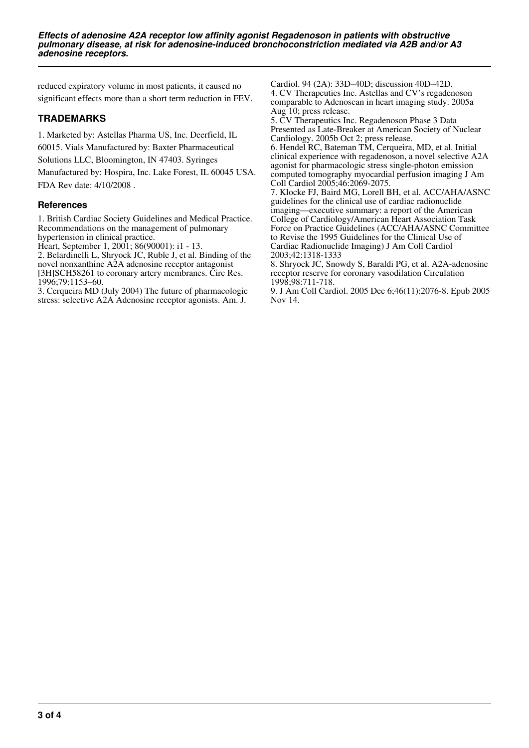reduced expiratory volume in most patients, it caused no significant effects more than a short term reduction in FEV.

## **TRADEMARKS**

1. Marketed by: Astellas Pharma US, Inc. Deerfield, IL 60015. Vials Manufactured by: Baxter Pharmaceutical Solutions LLC, Bloomington, IN 47403. Syringes Manufactured by: Hospira, Inc. Lake Forest, IL 60045 USA. FDA Rev date: 4/10/2008 .

## **References**

1. British Cardiac Society Guidelines and Medical Practice. Recommendations on the management of pulmonary hypertension in clinical practice.

Heart, September 1, 2001; 86(90001): i1 - 13.

2. Belardinelli L, Shryock JC, Ruble J, et al. Binding of the novel nonxanthine A2A adenosine receptor antagonist [3H]SCH58261 to coronary artery membranes. Circ Res. 1996;79:1153–60.

3. Cerqueira MD (July 2004) The future of pharmacologic stress: selective A2A Adenosine receptor agonists. Am. J.

Cardiol. 94 (2A): 33D–40D; discussion 40D–42D. 4. CV Therapeutics Inc. Astellas and CV's regadenoson comparable to Adenoscan in heart imaging study. 2005a Aug 10; press release.

5. CV Therapeutics Inc. Regadenoson Phase 3 Data Presented as Late-Breaker at American Society of Nuclear Cardiology. 2005b Oct 2; press release.

6. Hendel RC, Bateman TM, Cerqueira, MD, et al. Initial clinical experience with regadenoson, a novel selective A2A agonist for pharmacologic stress single-photon emission computed tomography myocardial perfusion imaging J Am Coll Cardiol 2005;46:2069-2075.

7. Klocke FJ, Baird MG, Lorell BH, et al. ACC/AHA/ASNC guidelines for the clinical use of cardiac radionuclide imaging—executive summary: a report of the American College of Cardiology/American Heart Association Task Force on Practice Guidelines (ACC/AHA/ASNC Committee to Revise the 1995 Guidelines for the Clinical Use of Cardiac Radionuclide Imaging) J Am Coll Cardiol 2003;42:1318-1333

8. Shryock JC, Snowdy S, Baraldi PG, et al. A2A-adenosine receptor reserve for coronary vasodilation Circulation 1998;98:711-718.

9. J Am Coll Cardiol. 2005 Dec 6;46(11):2076-8. Epub 2005 Nov 14.